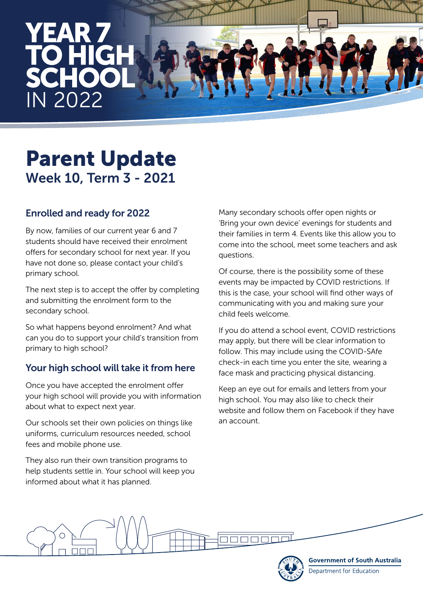## **SCH** IN 2022

### Parent Update Week 10, Term 3 - 2021

### Enrolled and ready for 2022

By now, families of our current year 6 and 7 students should have received their enrolment offers for secondary school for next year. If you have not done so, please contact your child's primary school.

The next step is to accept the offer by completing and submitting the enrolment form to the secondary school.

So what happens beyond enrolment? And what can you do to support your child's transition from primary to high school?

### Your high school will take it from here

Once you have accepted the enrolment offer your high school will provide you with information about what to expect next year.

Our schools set their own policies on things like uniforms, curriculum resources needed, school fees and mobile phone use.

They also run their own transition programs to help students settle in. Your school will keep you informed about what it has planned.

Many secondary schools offer open nights or 'Bring your own device' evenings for students and their families in term 4. Events like this allow you to come into the school, meet some teachers and ask questions.

Of course, there is the possibility some of these events may be impacted by COVID restrictions. If this is the case, your school will find other ways of communicating with you and making sure your child feels welcome.

If you do attend a school event, COVID restrictions may apply, but there will be clear information to follow. This may include using the COVID-SAfe check-in each time you enter the site, wearing a face mask and practicing physical distancing.

Keep an eye out for emails and letters from your high school. You may also like to check their website and follow them on Facebook if they have an account.



INNE

**Government of South Australia** Department for Education